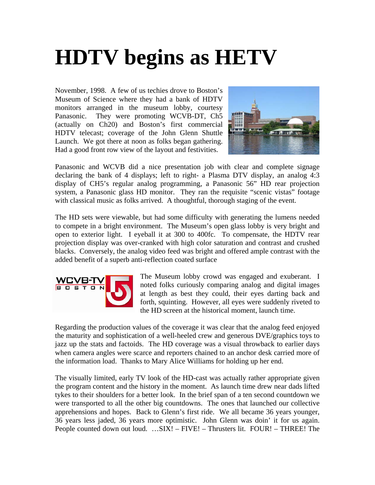## **HDTV begins as HETV**

November, 1998. A few of us techies drove to Boston's Museum of Science where they had a bank of HDTV monitors arranged in the museum lobby, courtesy Panasonic. They were promoting WCVB-DT, Ch5 (actually on Ch20) and Boston's first commercial HDTV telecast; coverage of the John Glenn Shuttle Launch. We got there at noon as folks began gathering. Had a good front row view of the layout and festivities.



Panasonic and WCVB did a nice presentation job with clear and complete signage declaring the bank of 4 displays; left to right- a Plasma DTV display, an analog 4:3 display of CH5's regular analog programming, a Panasonic 56" HD rear projection system, a Panasonic glass HD monitor. They ran the requisite "scenic vistas" footage with classical music as folks arrived. A thoughtful, thorough staging of the event.

The HD sets were viewable, but had some difficulty with generating the lumens needed to compete in a bright environment. The Museum's open glass lobby is very bright and open to exterior light. I eyeball it at 300 to 400fc. To compensate, the HDTV rear projection display was over-cranked with high color saturation and contrast and crushed blacks. Conversely, the analog video feed was bright and offered ample contrast with the added benefit of a superb anti-reflection coated surface



The Museum lobby crowd was engaged and exuberant. I noted folks curiously comparing analog and digital images at length as best they could, their eyes darting back and forth, squinting. However, all eyes were suddenly riveted to the HD screen at the historical moment, launch time.

Regarding the production values of the coverage it was clear that the analog feed enjoyed the maturity and sophistication of a well-heeled crew and generous DVE/graphics toys to jazz up the stats and factoids. The HD coverage was a visual throwback to earlier days when camera angles were scarce and reporters chained to an anchor desk carried more of the information load. Thanks to Mary Alice Williams for holding up her end.

The visually limited, early TV look of the HD-cast was actually rather appropriate given the program content and the history in the moment. As launch time drew near dads lifted tykes to their shoulders for a better look. In the brief span of a ten second countdown we were transported to all the other big countdowns. The ones that launched our collective apprehensions and hopes. Back to Glenn's first ride. We all became 36 years younger, 36 years less jaded, 36 years more optimistic. John Glenn was doin' it for us again. People counted down out loud. …SIX! – FIVE! – Thrusters lit. FOUR! – THREE! The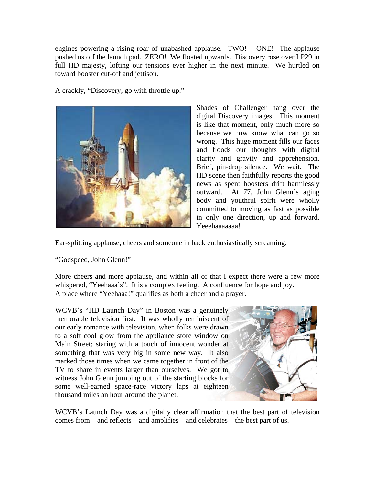engines powering a rising roar of unabashed applause. TWO! – ONE! The applause pushed us off the launch pad. ZERO! We floated upwards. Discovery rose over LP29 in full HD majesty, lofting our tensions ever higher in the next minute. We hurtled on toward booster cut-off and jettison.

A crackly, "Discovery, go with throttle up."



Shades of Challenger hang over the digital Discovery images. This moment is like that moment, only much more so because we now know what can go so wrong. This huge moment fills our faces and floods our thoughts with digital clarity and gravity and apprehension. Brief, pin-drop silence. We wait. The HD scene then faithfully reports the good news as spent boosters drift harmlessly outward. At 77, John Glenn's aging body and youthful spirit were wholly committed to moving as fast as possible in only one direction, up and forward. Yeeehaaaaaaa!

Ear-splitting applause, cheers and someone in back enthusiastically screaming,

"Godspeed, John Glenn!"

More cheers and more applause, and within all of that I expect there were a few more whispered, "Yeehaaa's". It is a complex feeling. A confluence for hope and joy. A place where "Yeehaaa!" qualifies as both a cheer and a prayer.

WCVB's "HD Launch Day" in Boston was a genuinely memorable television first. It was wholly reminiscent of our early romance with television, when folks were drawn to a soft cool glow from the appliance store window on Main Street; staring with a touch of innocent wonder at something that was very big in some new way. It also marked those times when we came together in front of the TV to share in events larger than ourselves. We got to witness John Glenn jumping out of the starting blocks for some well-earned space-race victory laps at eighteen thousand miles an hour around the planet.



WCVB's Launch Day was a digitally clear affirmation that the best part of television comes from – and reflects – and amplifies – and celebrates – the best part of us.